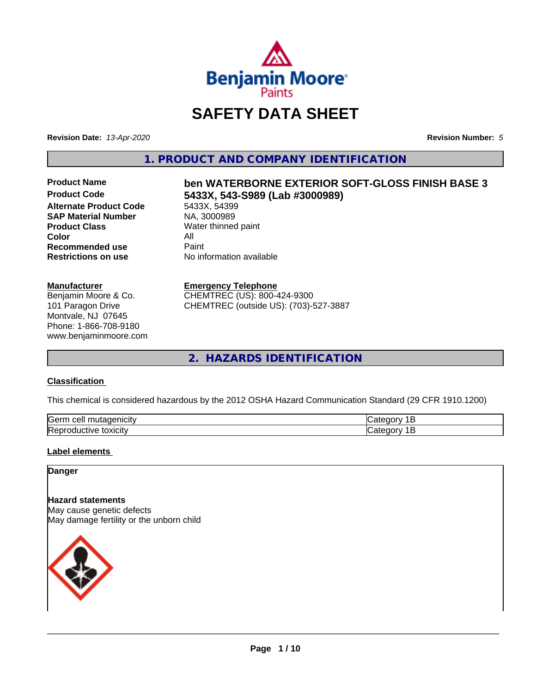

# **SAFETY DATA SHEET**

**Revision Date:** *13-Apr-2020* **Revision Number:** *5*

**1. PRODUCT AND COMPANY IDENTIFICATION**

**Alternate Product Code** 5433X, 54399<br> **SAP Material Number** NA, 3000989 **SAP Material Number Product Class** Water thinned paint<br> **Color** All **Color** All **Recommended use** Paint **Restrictions on use** No information available

#### **Manufacturer**

Benjamin Moore & Co. 101 Paragon Drive Montvale, NJ 07645 Phone: 1-866-708-9180 www.benjaminmoore.com

# Product Name **ben WATERBORNE EXTERIOR SOFT-GLOSS FINISH BASE 3**<br>Product Code **62333 5433X 543-S989 (Lab #3000989) 5433X, 543-S989 (Lab #3000989)**<br>5433X, 54399

# **Emergency Telephone**

CHEMTREC (US): 800-424-9300 CHEMTREC (outside US): (703)-527-3887

**2. HAZARDS IDENTIFICATION**

# **Classification**

This chemical is considered hazardous by the 2012 OSHA Hazard Communication Standard (29 CFR 1910.1200)

| <b>Serr</b><br>.<br>,,,,<br>лгу                     |  |
|-----------------------------------------------------|--|
| <b>Rep</b><br>トヘソ・ヘ け<br><br>.ive<br><b>UXICIIV</b> |  |

# **Label elements**

#### **Danger**

# **Hazard statements** May cause genetic defects May damage fertility or the unborn child

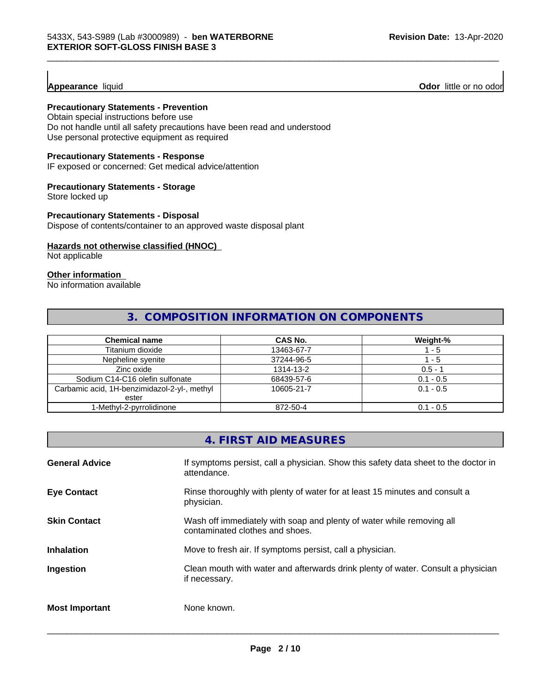# **Appearance** liquid

**Odor** little or no odor

# **Precautionary Statements - Prevention**

Obtain special instructions before use Do not handle until all safety precautions have been read and understood Use personal protective equipment as required

# **Precautionary Statements - Response**

IF exposed or concerned: Get medical advice/attention

# **Precautionary Statements - Storage**

Store locked up

#### **Precautionary Statements - Disposal**

Dispose of contents/container to an approved waste disposal plant

# **Hazards not otherwise classified (HNOC)**

Not applicable

# **Other information**

No information available

# **3. COMPOSITION INFORMATION ON COMPONENTS**

\_\_\_\_\_\_\_\_\_\_\_\_\_\_\_\_\_\_\_\_\_\_\_\_\_\_\_\_\_\_\_\_\_\_\_\_\_\_\_\_\_\_\_\_\_\_\_\_\_\_\_\_\_\_\_\_\_\_\_\_\_\_\_\_\_\_\_\_\_\_\_\_\_\_\_\_\_\_\_\_\_\_\_\_\_\_\_\_\_\_\_\_\_

| <b>Chemical name</b>                         | CAS No.    | Weight-%    |
|----------------------------------------------|------------|-------------|
| Titanium dioxide                             | 13463-67-7 | - 5         |
| Nepheline syenite                            | 37244-96-5 | - 5         |
| Zinc oxide                                   | 1314-13-2  | $0.5 - 1$   |
| Sodium C14-C16 olefin sulfonate              | 68439-57-6 | $0.1 - 0.5$ |
| Carbamic acid, 1H-benzimidazol-2-yl-, methyl | 10605-21-7 | $0.1 - 0.5$ |
| ester                                        |            |             |
| 1-Methyl-2-pyrrolidinone                     | 872-50-4   | $0.1 - 0.5$ |

# **4. FIRST AID MEASURES**

| <b>General Advice</b> | If symptoms persist, call a physician. Show this safety data sheet to the doctor in<br>attendance.       |
|-----------------------|----------------------------------------------------------------------------------------------------------|
| <b>Eye Contact</b>    | Rinse thoroughly with plenty of water for at least 15 minutes and consult a<br>physician.                |
| <b>Skin Contact</b>   | Wash off immediately with soap and plenty of water while removing all<br>contaminated clothes and shoes. |
| <b>Inhalation</b>     | Move to fresh air. If symptoms persist, call a physician.                                                |
| Ingestion             | Clean mouth with water and afterwards drink plenty of water. Consult a physician<br>if necessary.        |
| <b>Most Important</b> | None known.                                                                                              |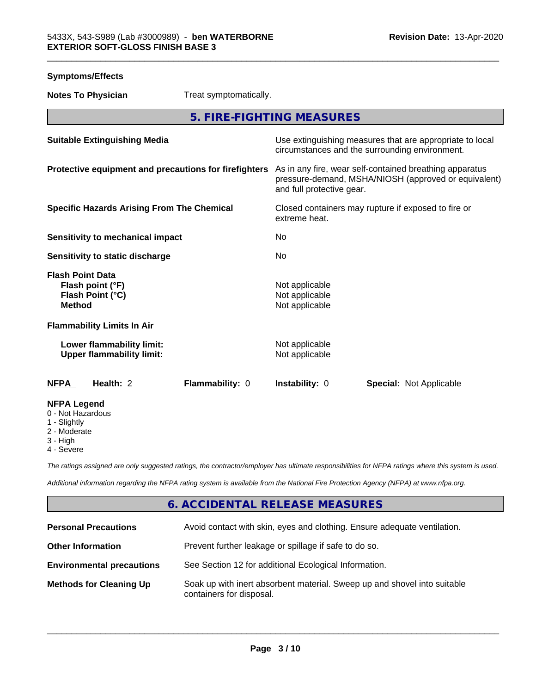| <b>Symptoms/Effects</b>                                                          |                                                                                                                                              |
|----------------------------------------------------------------------------------|----------------------------------------------------------------------------------------------------------------------------------------------|
| <b>Notes To Physician</b><br>Treat symptomatically.                              |                                                                                                                                              |
|                                                                                  | 5. FIRE-FIGHTING MEASURES                                                                                                                    |
| <b>Suitable Extinguishing Media</b>                                              | Use extinguishing measures that are appropriate to local<br>circumstances and the surrounding environment.                                   |
| Protective equipment and precautions for firefighters                            | As in any fire, wear self-contained breathing apparatus<br>pressure-demand, MSHA/NIOSH (approved or equivalent)<br>and full protective gear. |
| <b>Specific Hazards Arising From The Chemical</b>                                | Closed containers may rupture if exposed to fire or<br>extreme heat.                                                                         |
| <b>Sensitivity to mechanical impact</b>                                          | No                                                                                                                                           |
| Sensitivity to static discharge                                                  | No                                                                                                                                           |
| <b>Flash Point Data</b><br>Flash point (°F)<br>Flash Point (°C)<br><b>Method</b> | Not applicable<br>Not applicable<br>Not applicable                                                                                           |
| <b>Flammability Limits In Air</b>                                                |                                                                                                                                              |
| Lower flammability limit:<br><b>Upper flammability limit:</b>                    | Not applicable<br>Not applicable                                                                                                             |
| Health: 2<br>Flammability: 0<br><b>NFPA</b>                                      | Instability: 0<br><b>Special: Not Applicable</b>                                                                                             |
| <b>NFPA Legend</b><br>0 - Not Hazardous<br>1 - Slightly<br>2 - Moderate          |                                                                                                                                              |

- 3 High
- 4 Severe

*The ratings assigned are only suggested ratings, the contractor/employer has ultimate responsibilities for NFPA ratings where this system is used.*

*Additional information regarding the NFPA rating system is available from the National Fire Protection Agency (NFPA) at www.nfpa.org.*

# **6. ACCIDENTAL RELEASE MEASURES**

| <b>Personal Precautions</b>      | Avoid contact with skin, eyes and clothing. Ensure adequate ventilation.                             |
|----------------------------------|------------------------------------------------------------------------------------------------------|
| <b>Other Information</b>         | Prevent further leakage or spillage if safe to do so.                                                |
| <b>Environmental precautions</b> | See Section 12 for additional Ecological Information.                                                |
| <b>Methods for Cleaning Up</b>   | Soak up with inert absorbent material. Sweep up and shovel into suitable<br>containers for disposal. |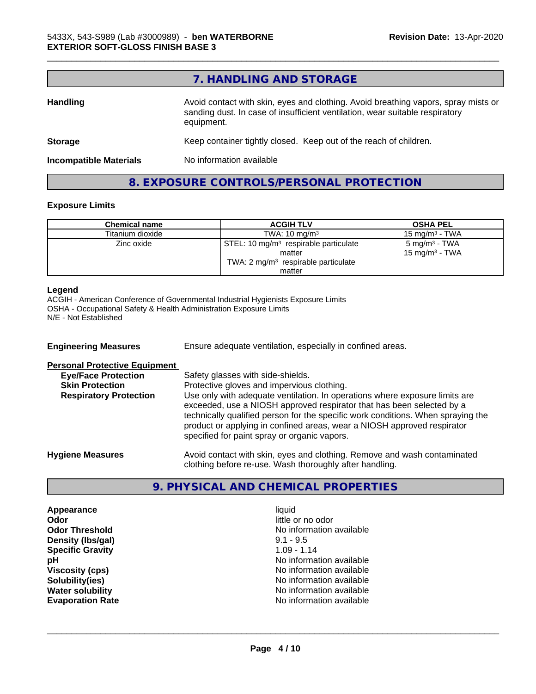|                               | 7. HANDLING AND STORAGE                                                                                                                                                          |
|-------------------------------|----------------------------------------------------------------------------------------------------------------------------------------------------------------------------------|
| <b>Handling</b>               | Avoid contact with skin, eyes and clothing. Avoid breathing vapors, spray mists or<br>sanding dust. In case of insufficient ventilation, wear suitable respiratory<br>equipment. |
| <b>Storage</b>                | Keep container tightly closed. Keep out of the reach of children.                                                                                                                |
| <b>Incompatible Materials</b> | No information available                                                                                                                                                         |
|                               | 8. EXPOSURE CONTROLS/PERSONAL PROTECTION                                                                                                                                         |

\_\_\_\_\_\_\_\_\_\_\_\_\_\_\_\_\_\_\_\_\_\_\_\_\_\_\_\_\_\_\_\_\_\_\_\_\_\_\_\_\_\_\_\_\_\_\_\_\_\_\_\_\_\_\_\_\_\_\_\_\_\_\_\_\_\_\_\_\_\_\_\_\_\_\_\_\_\_\_\_\_\_\_\_\_\_\_\_\_\_\_\_\_

# **Exposure Limits**

| <b>Chemical name</b> | <b>ACGIH TLV</b>                                  | <b>OSHA PEL</b>            |
|----------------------|---------------------------------------------------|----------------------------|
| Titanium dioxide     | TWA: $10 \text{ mg/m}^3$                          | 15 mg/m $3$ - TWA          |
| Zinc oxide           | STEL: 10 mg/m <sup>3</sup> respirable particulate | $5 \text{ mg/m}^3$ - TWA   |
|                      | matter                                            | 15 mg/m <sup>3</sup> - TWA |
|                      | TWA: $2 \text{ mg/m}^3$ respirable particulate    |                            |
|                      | matter                                            |                            |

#### **Legend**

ACGIH - American Conference of Governmental Industrial Hygienists Exposure Limits OSHA - Occupational Safety & Health Administration Exposure Limits N/E - Not Established

**Engineering Measures** Ensure adequate ventilation, especially in confined areas. **Personal Protective Equipment**<br> **Eye/Face Protection Eye/Face Protection**<br>
Safety glasses with side-shields.<br> **Skin Protection**<br>
Protective gloves and impervious Protective gloves and impervious clothing. **Respiratory Protection** Use only with adequate ventilation. In operations where exposure limits are exceeded, use a NIOSH approved respirator that has been selected by a technically qualified person for the specific work conditions. When spraying the product or applying in confined areas, wear a NIOSH approved respirator specified for paint spray or organic vapors. **Hygiene Measures** Avoid contact with skin, eyes and clothing. Remove and wash contaminated clothing before re-use. Wash thoroughly after handling.

# **9. PHYSICAL AND CHEMICAL PROPERTIES**

**Appearance** liquid **Odor** little or no odor **Density (Ibs/gal)** 9.1 - 9.5<br> **Specific Gravity** 1.09 - 1.14 **Specific Gravity** 

**Odor Threshold**<br> **Density (Ibs/gal)**<br> **Density (Ibs/gal)**<br> **No information available**<br>  $9.1 - 9.5$ **pH pH**  $\blacksquare$ **Viscosity (cps)** No information available **Solubility(ies)** No information available in the solution of the solution of the solution available in the solution of the solution of the solution of the solution available in the solution of the solution of the solution **Water solubility** No information available **Evaporation Rate Evaporation Rate No information available**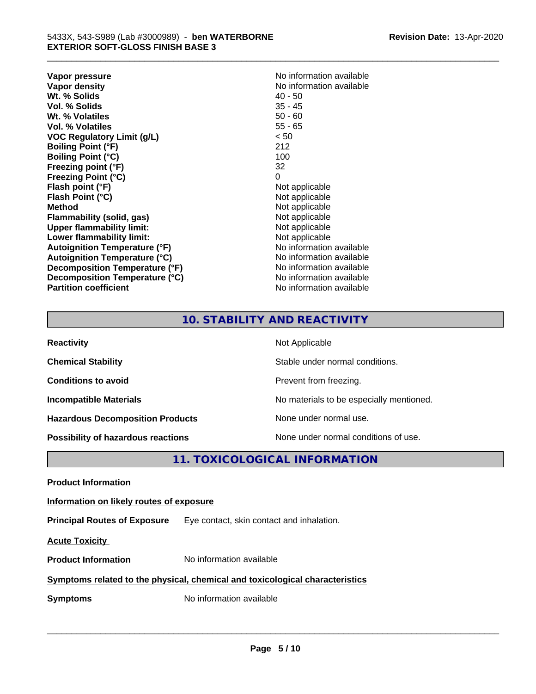**Vapor pressure** No information available<br> **Vapor density**<br> **Vapor density Wt. % Solids 40 - 50<br>
<b>Vol. % Solids** 45 - 45 **Vol. % Solids** 35 - 45<br> **Wt. % Volatiles** 35 - 45 **Wt. % Volatiles Vol. % Volatiles** 55 - 65 **VOC Regulatory Limit (g/L)** < 50 **Boiling Point (°F)** 212 **Boiling Point (°C)** 100 **Freezing point (°F)** 32 **Freezing Point (°C)** 0 **Flash point (°F)**<br> **Flash Point (°C)**<br> **Flash Point (°C)**<br> **C Flash Point (°C)**<br>Method **Flammability** (solid, gas) **Upper flammability limit:**<br> **Lower flammability limit:** Not applicable Not applicable **Lower flammability limit:**<br> **Autoignition Temperature (°F)** Not applicable available **Autoignition Temperature (°F) Autoignition Temperature (°C)**<br> **Decomposition Temperature (°F)** No information available **Decomposition Temperature (°F) Decomposition Temperature (°C)** No information available **Partition coefficient Contract Community No information available** 

**No information available**<br>40 - 50 **Not applicable**<br>Not applicable

\_\_\_\_\_\_\_\_\_\_\_\_\_\_\_\_\_\_\_\_\_\_\_\_\_\_\_\_\_\_\_\_\_\_\_\_\_\_\_\_\_\_\_\_\_\_\_\_\_\_\_\_\_\_\_\_\_\_\_\_\_\_\_\_\_\_\_\_\_\_\_\_\_\_\_\_\_\_\_\_\_\_\_\_\_\_\_\_\_\_\_\_\_

# **10. STABILITY AND REACTIVITY**

| <b>Reactivity</b>                         | Not Applicable                           |
|-------------------------------------------|------------------------------------------|
| <b>Chemical Stability</b>                 | Stable under normal conditions.          |
| <b>Conditions to avoid</b>                | Prevent from freezing.                   |
| <b>Incompatible Materials</b>             | No materials to be especially mentioned. |
| <b>Hazardous Decomposition Products</b>   | None under normal use.                   |
| <b>Possibility of hazardous reactions</b> | None under normal conditions of use.     |

# **11. TOXICOLOGICAL INFORMATION**

**Product Information**

**Information on likely routes of exposure**

**Principal Routes of Exposure** Eye contact, skin contact and inhalation.

**Acute Toxicity** 

**Product Information** No information available

# **Symptoms related to the physical,chemical and toxicological characteristics**

**Symptoms** No information available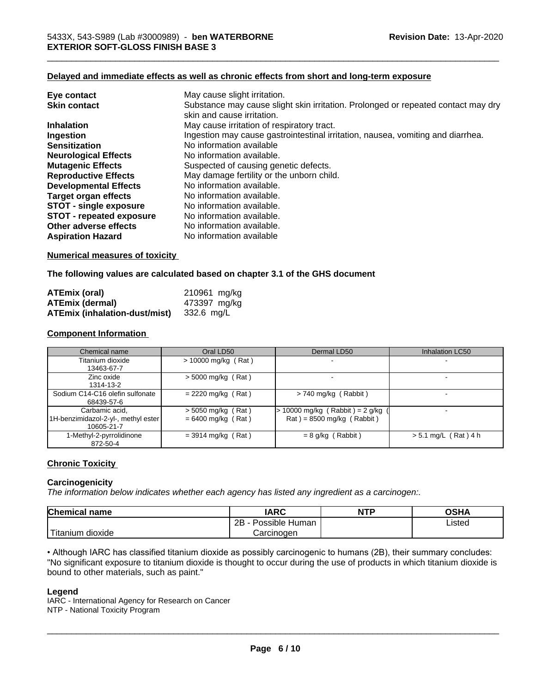# **Delayed and immediate effects as well as chronic effects from short and long-term exposure**

| Eye contact                     | May cause slight irritation.                                                      |
|---------------------------------|-----------------------------------------------------------------------------------|
| <b>Skin contact</b>             | Substance may cause slight skin irritation. Prolonged or repeated contact may dry |
|                                 | skin and cause irritation.                                                        |
| <b>Inhalation</b>               | May cause irritation of respiratory tract.                                        |
| Ingestion                       | Ingestion may cause gastrointestinal irritation, nausea, vomiting and diarrhea.   |
| <b>Sensitization</b>            | No information available                                                          |
| <b>Neurological Effects</b>     | No information available.                                                         |
| <b>Mutagenic Effects</b>        | Suspected of causing genetic defects.                                             |
| <b>Reproductive Effects</b>     | May damage fertility or the unborn child.                                         |
| <b>Developmental Effects</b>    | No information available.                                                         |
| Target organ effects            | No information available.                                                         |
| <b>STOT - single exposure</b>   | No information available.                                                         |
| <b>STOT - repeated exposure</b> | No information available.                                                         |
| Other adverse effects           | No information available.                                                         |
| <b>Aspiration Hazard</b>        | No information available                                                          |

# **Numerical measures of toxicity**

**The following values are calculated based on chapter 3.1 of the GHS document**

| ATEmix (oral)                 | 210961 mg/kg |
|-------------------------------|--------------|
| <b>ATEmix (dermal)</b>        | 473397 mg/kg |
| ATEmix (inhalation-dust/mist) | 332.6 mg/L   |

#### **Component Information**

| Chemical name                                                       | Oral LD50                                    | Dermal LD50                                                           | Inhalation LC50        |
|---------------------------------------------------------------------|----------------------------------------------|-----------------------------------------------------------------------|------------------------|
| Titanium dioxide<br>13463-67-7                                      | $> 10000$ mg/kg (Rat)                        | $\sim$                                                                |                        |
| Zinc oxide<br>1314-13-2                                             | $>$ 5000 mg/kg (Rat)                         |                                                                       |                        |
| Sodium C14-C16 olefin sulfonate<br>68439-57-6                       | $= 2220$ mg/kg (Rat)                         | $> 740$ mg/kg (Rabbit)                                                |                        |
| Carbamic acid,<br>1H-benzimidazol-2-yl-, methyl ester<br>10605-21-7 | $>$ 5050 mg/kg (Rat)<br>$= 6400$ mg/kg (Rat) | 10000 mg/kg (Rabbit) = $2$ g/kg<br>$\text{Rat}$ = 8500 mg/kg (Rabbit) |                        |
| 1-Methyl-2-pyrrolidinone<br>872-50-4                                | $=$ 3914 mg/kg (Rat)                         | $= 8$ g/kg (Rabbit)                                                   | $> 5.1$ mg/L (Rat) 4 h |

# **Chronic Toxicity**

#### **Carcinogenicity**

*The information below indicateswhether each agency has listed any ingredient as a carcinogen:.*

| Chemical<br>`name                                                                                                                               | <b>IARC</b>               | <b>NTP</b> | <b>OSHA</b> |
|-------------------------------------------------------------------------------------------------------------------------------------------------|---------------------------|------------|-------------|
|                                                                                                                                                 | .<br>2B<br>Possible Human |            | Listed      |
| <b>The Contract of the Contract of the Contract of the Contract of the Contract of the Contract of the Contract o</b><br>n dioxide<br>l itanium | Carcinogen                |            |             |

• Although IARC has classified titanium dioxide as possibly carcinogenic to humans (2B), their summary concludes: "No significant exposure to titanium dioxide is thought to occur during the use of products in which titanium dioxide is bound to other materials, such as paint."

#### **Legend**

IARC - International Agency for Research on Cancer NTP - National Toxicity Program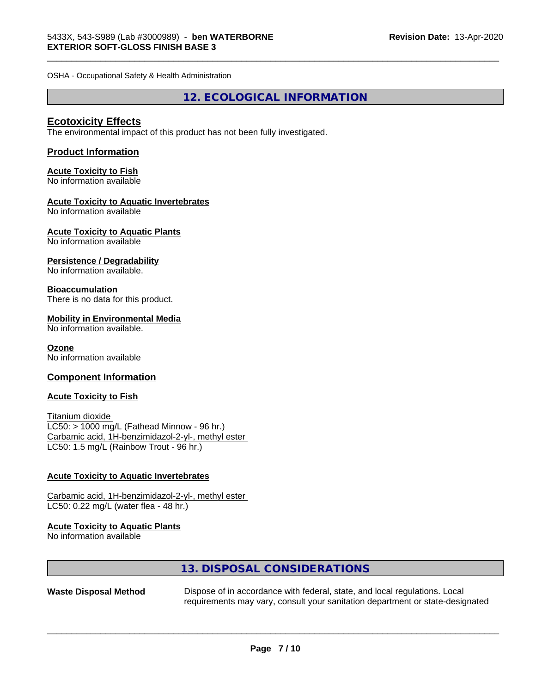OSHA - Occupational Safety & Health Administration

# **12. ECOLOGICAL INFORMATION**

\_\_\_\_\_\_\_\_\_\_\_\_\_\_\_\_\_\_\_\_\_\_\_\_\_\_\_\_\_\_\_\_\_\_\_\_\_\_\_\_\_\_\_\_\_\_\_\_\_\_\_\_\_\_\_\_\_\_\_\_\_\_\_\_\_\_\_\_\_\_\_\_\_\_\_\_\_\_\_\_\_\_\_\_\_\_\_\_\_\_\_\_\_

# **Ecotoxicity Effects**

The environmental impact of this product has not been fully investigated.

# **Product Information**

# **Acute Toxicity to Fish**

No information available

# **Acute Toxicity to Aquatic Invertebrates**

No information available

# **Acute Toxicity to Aquatic Plants**

No information available

# **Persistence / Degradability**

No information available.

# **Bioaccumulation**

There is no data for this product.

# **Mobility in Environmental Media**

No information available.

# **Ozone**

No information available

#### **Component Information**

#### **Acute Toxicity to Fish**

Titanium dioxide  $LC50:$  > 1000 mg/L (Fathead Minnow - 96 hr.) Carbamic acid, 1H-benzimidazol-2-yl-, methyl ester LC50: 1.5 mg/L (Rainbow Trout - 96 hr.)

# **Acute Toxicity to Aquatic Invertebrates**

Carbamic acid, 1H-benzimidazol-2-yl-, methyl ester LC50: 0.22 mg/L (water flea - 48 hr.)

# **Acute Toxicity to Aquatic Plants**

No information available

# **13. DISPOSAL CONSIDERATIONS**

**Waste Disposal Method** Dispose of in accordance with federal, state, and local regulations. Local requirements may vary, consult your sanitation department or state-designated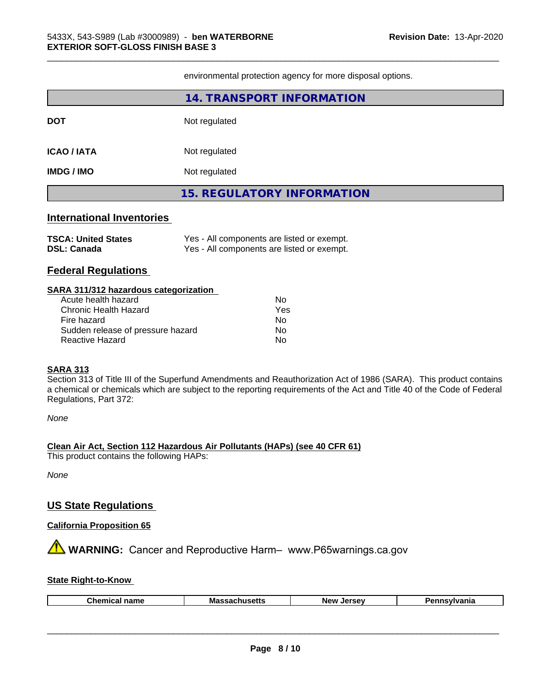environmental protection agency for more disposal options.

\_\_\_\_\_\_\_\_\_\_\_\_\_\_\_\_\_\_\_\_\_\_\_\_\_\_\_\_\_\_\_\_\_\_\_\_\_\_\_\_\_\_\_\_\_\_\_\_\_\_\_\_\_\_\_\_\_\_\_\_\_\_\_\_\_\_\_\_\_\_\_\_\_\_\_\_\_\_\_\_\_\_\_\_\_\_\_\_\_\_\_\_\_

|                                                                                                                                                                     | <b>14. TRANSPORT INFORMATION</b>                                                         |  |  |  |
|---------------------------------------------------------------------------------------------------------------------------------------------------------------------|------------------------------------------------------------------------------------------|--|--|--|
| <b>DOT</b>                                                                                                                                                          | Not regulated                                                                            |  |  |  |
| <b>ICAO/IATA</b>                                                                                                                                                    | Not regulated                                                                            |  |  |  |
| <b>IMDG / IMO</b>                                                                                                                                                   | Not regulated                                                                            |  |  |  |
|                                                                                                                                                                     | <b>15. REGULATORY INFORMATION</b>                                                        |  |  |  |
| <b>International Inventories</b>                                                                                                                                    |                                                                                          |  |  |  |
| <b>TSCA: United States</b><br><b>DSL: Canada</b>                                                                                                                    | Yes - All components are listed or exempt.<br>Yes - All components are listed or exempt. |  |  |  |
| <b>Federal Regulations</b>                                                                                                                                          |                                                                                          |  |  |  |
| SARA 311/312 hazardous categorization<br>Acute health hazard<br>Chronic Health Hazard<br>Fire hazard<br>Sudden release of pressure hazard<br><b>Reactive Hazard</b> | <b>No</b><br>Yes<br>No<br>No<br>No.                                                      |  |  |  |

# **SARA 313**

Section 313 of Title III of the Superfund Amendments and Reauthorization Act of 1986 (SARA). This product contains a chemical or chemicals which are subject to the reporting requirements of the Act and Title 40 of the Code of Federal Regulations, Part 372:

*None*

# **Clean Air Act,Section 112 Hazardous Air Pollutants (HAPs) (see 40 CFR 61)**

This product contains the following HAPs:

*None*

# **US State Regulations**

# **California Proposition 65**

**AVIMARNING:** Cancer and Reproductive Harm– www.P65warnings.ca.gov

# **State Right-to-Know**

|--|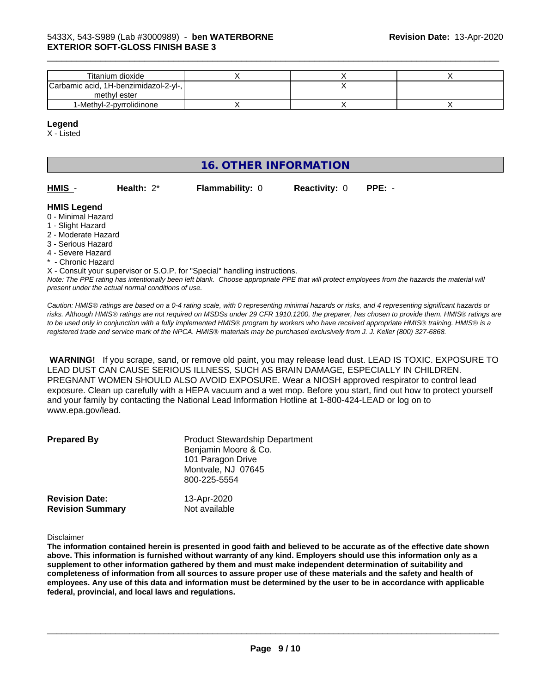| Titanium dioxide                      |  |  |
|---------------------------------------|--|--|
| Carbamic acid, 1H-benzimidazol-2-yl-, |  |  |
| methyl ester                          |  |  |
| 1-Methyl-2-pyrrolidinone              |  |  |

\_\_\_\_\_\_\_\_\_\_\_\_\_\_\_\_\_\_\_\_\_\_\_\_\_\_\_\_\_\_\_\_\_\_\_\_\_\_\_\_\_\_\_\_\_\_\_\_\_\_\_\_\_\_\_\_\_\_\_\_\_\_\_\_\_\_\_\_\_\_\_\_\_\_\_\_\_\_\_\_\_\_\_\_\_\_\_\_\_\_\_\_\_

**HMIS** - **Health:** 2\* **Flammability:** 0 **Reactivity:** 0 **PPE:** -

#### **Legend**

X - Listed

# **16. OTHER INFORMATION**

| HMIS - | Health: $2^*$ | <b>Flammability: 0</b> |
|--------|---------------|------------------------|

# **HMIS Legend**

- 0 Minimal Hazard
- 1 Slight Hazard
- 2 Moderate Hazard
- 3 Serious Hazard
- 4 Severe Hazard
- \* Chronic Hazard

*Note: The PPE rating has intentionally been left blank. Choose appropriate PPE that will protect employees from the hazards the material will present under the actual normal conditions of use.* X - Consult your supervisor or S.O.P. for "Special" handling instructions.

*Caution: HMISÒ ratings are based on a 0-4 rating scale, with 0 representing minimal hazards or risks, and 4 representing significant hazards or risks. Although HMISÒ ratings are not required on MSDSs under 29 CFR 1910.1200, the preparer, has chosen to provide them. HMISÒ ratings are to be used only in conjunction with a fully implemented HMISÒ program by workers who have received appropriate HMISÒ training. HMISÒ is a registered trade and service mark of the NPCA. HMISÒ materials may be purchased exclusively from J. J. Keller (800) 327-6868.*

 **WARNING!** If you scrape, sand, or remove old paint, you may release lead dust. LEAD IS TOXIC. EXPOSURE TO LEAD DUST CAN CAUSE SERIOUS ILLNESS, SUCH AS BRAIN DAMAGE, ESPECIALLY IN CHILDREN. PREGNANT WOMEN SHOULD ALSO AVOID EXPOSURE.Wear a NIOSH approved respirator to control lead exposure. Clean up carefully with a HEPA vacuum and a wet mop. Before you start, find out how to protect yourself and your family by contacting the National Lead Information Hotline at 1-800-424-LEAD or log on to www.epa.gov/lead.

| <b>Prepared By</b>                               | <b>Product Stewardship Department</b><br>Benjamin Moore & Co.<br>101 Paragon Drive<br>Montvale, NJ 07645<br>800-225-5554 |  |
|--------------------------------------------------|--------------------------------------------------------------------------------------------------------------------------|--|
| <b>Revision Date:</b><br><b>Revision Summary</b> | 13-Apr-2020<br>Not available                                                                                             |  |

Disclaimer

The information contained herein is presented in good faith and believed to be accurate as of the effective date shown above. This information is furnished without warranty of any kind. Employers should use this information only as a **supplement to other information gathered by them and must make independent determination of suitability and** completeness of information from all sources to assure proper use of these materials and the safety and health of employees. Any use of this data and information must be determined by the user to be in accordance with applicable **federal, provincial, and local laws and regulations.**